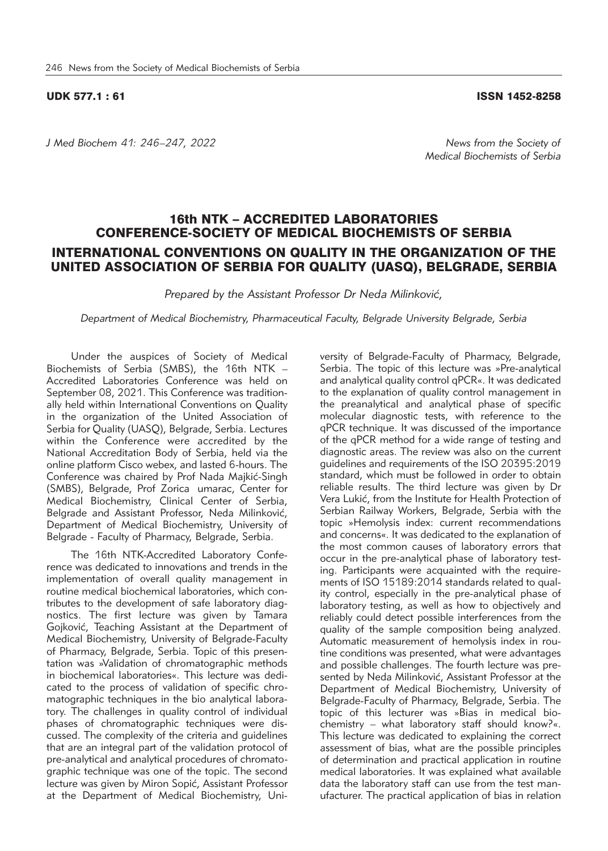## UDK 577.1 : 61 ISSN 1452-8258

*J Med Biochem 41: 246–247, 2022 News from the Society of* 

*Medical Biochemists of Serbia*

## 16th NTK – ACCREDITED LABORATORIES CONFERENCE-SOCIETY OF MEDICAL BIOCHEMISTS OF SERBIA INTERNATIONAL CONVENTIONS ON QUALITY IN THE ORGANIZATION OF THE UNITED ASSOCIATION OF SERBIA FOR QUALITY (UASQ), BELGRADE, SERBIA

*Prepared by the Assistant Professor Dr Neda Milinković,* 

*Department of Medical Biochemistry, Pharmaceutical Faculty, Belgrade University Belgrade, Serbia*

Under the auspices of Society of Medical Biochemists of Serbia (SMBS), the 16th NTK -Accredited Laboratories Conference was held on September 08, 2021. This Conference was traditionally held within International Conventions on Quality in the organization of the United Association of Serbia for Quality (UASQ), Belgrade, Serbia. Lectures within the Conference were accredited by the National Accreditation Body of Serbia, held via the online platform Cisco webex, and lasted 6-hours. The Conference was chaired by Prof Nada Majkić-Singh (SMBS), Belgrade, Prof Zorica umarac, Center for Medical Biochemistry, Clinical Center of Serbia, Belgrade and Assistant Professor, Neda Milinković, Department of Medical Biochemistry, University of Belgrade - Faculty of Pharmacy, Belgrade, Serbia.

The 16th NTK-Accredited Laboratory Conference was dedicated to innovations and trends in the implementation of overall quality management in routine medical biochemical laboratories, which contributes to the development of safe laboratory diagnostics. The first lecture was given by Tamara Gojković, Teaching Assistant at the Department of Medical Biochemistry, University of Belgrade-Faculty of Pharmacy, Belgrade, Serbia. Topic of this presentation was »Validation of chromatographic methods in biochemical laboratories«. This lecture was dedicated to the process of validation of specific chromatographic techniques in the bio analytical laboratory. The challenges in quality control of individual phases of chromatographic techniques were discussed. The complexity of the criteria and guidelines that are an integral part of the validation protocol of pre-analytical and analytical procedures of chromatographic technique was one of the topic. The second lecture was given by Miron Sopić, Assistant Professor at the Department of Medical Biochemistry, Uni-

versity of Belgrade-Faculty of Pharmacy, Belgrade, Serbia. The topic of this lecture was »Pre-analytical and analytical quality control qPCR«. It was dedicated to the explanation of quality control management in the preanalytical and analytical phase of specific molecular diagnostic tests, with reference to the qPCR technique. It was discussed of the importance of the qPCR method for a wide range of testing and diagnostic areas. The review was also on the current guidelines and requirements of the ISO 20395:2019 standard, which must be followed in order to obtain reliable results. The third lecture was given by Dr Vera Lukić, from the Institute for Health Protection of Serbian Railway Workers, Belgrade, Serbia with the topic »Hemolysis index: current recommendations and concerns«. It was dedicated to the explanation of the most common causes of laboratory errors that occur in the pre-analytical phase of laboratory testing. Participants were acquainted with the requirements of ISO 15189:2014 standards related to quality control, especially in the pre-analytical phase of laboratory testing, as well as how to objectively and reliably could detect possible interferences from the quality of the sample composition being analyzed. Automatic measurement of hemolysis index in routine conditions was presented, what were advantages and possible challenges. The fourth lecture was presented by Neda Milinković, Assistant Professor at the Department of Medical Biochemistry, University of Belgrade-Faculty of Pharmacy, Belgrade, Serbia. The topic of this lecturer was »Bias in medical biochemistry – what laboratory staff should know?«. This lecture was dedicated to explaining the correct assessment of bias, what are the possible principles of determination and practical application in routine medical laboratories. It was explained what available data the laboratory staff can use from the test manufacturer. The practical application of bias in relation